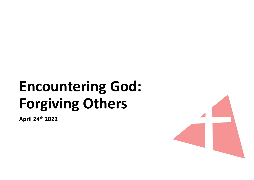# Encountering God:<br>Forgiving Others **Encountering God:<br>Forgiving Others**

April 24th 2022

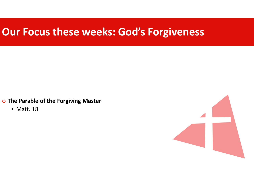## Our Focus these weeks: God's Forgiveness

o The Parable of the Forgiving Master

• Matt. 18

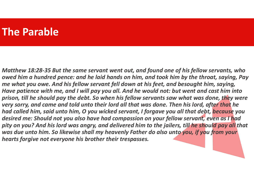#### The Parable

Matthew 18:28-35 But the same servant went out, and found one of his fellow servants, who owed him a hundred pence: and he laid hands on him, and took him by the throat, saying, Pay me what you owe. And his fellow servant fell down at his feet, and besought him, saying, Have patience with me, and I will pay you all. And he would not: but went and cast him into prison, till he should pay the debt. So when his fellow servants saw what was done, they were very sorry, and came and told unto their lord all that was done. Then his lord, after that he had called him, said unto him, O you wicked servant, I forgave you all that debt, because you desired me: Should not you also have had compassion on your fellow servant, even as I had pity on you? And his lord was angry, and delivered him to the jailers, till he should pay all that was due unto him. So likewise shall my heavenly Father do also unto you, if you from your hearts forgive not everyone his brother their trespasses.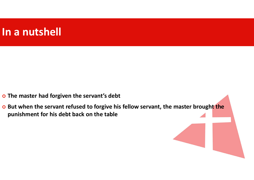# In a nutshell

- o The master had forgiven the servant's debt
- o But when the servant refused to forgive his fellow servant, the master brought the punishment for his debt back on the table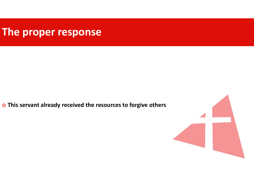# The proper response

o This servant already received the resources to forgive others

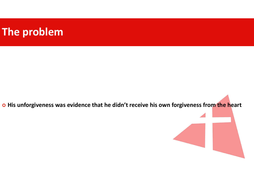# The problem

o His unforgiveness was evidence that he didn't receive his own forgiveness from the heart

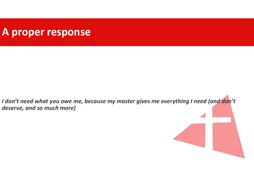#### A proper response

I don't need what you owe me, because my master gives me everything I need (and don't deserve, and so much more)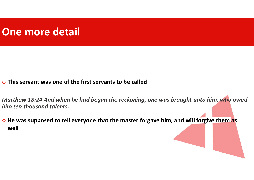# One more detail

This servant was one of the first servants to be called

Matthew 18:24 And when he had begun the reckoning, one was brought unto him, who owed him ten thousand talents.

o He was supposed to tell everyone that the master forgave him, and will forgive them as well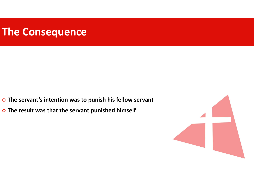# The Consequence

- o The servant's intention was to punish his fellow servant
- o The result was that the servant punished himself

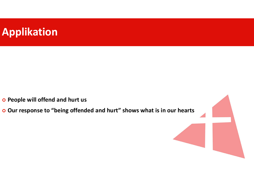# Applikation

- o People will offend and hurt us
- Our response to "being offended and hurt" shows what is in our hearts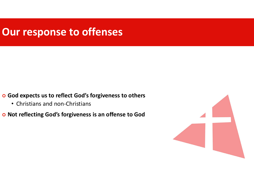# Our response to offenses

God expects us to reflect God's forgiveness to others

• Christians and non-Christians

o Not reflecting God's forgiveness is an offense to God

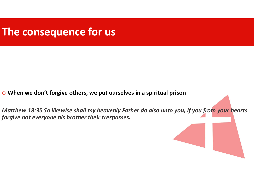# The consequence for us

- When we don't forgive others, we put ourselves in a spiritual prison
- Matthew 18:35 So likewise shall my heavenly Father do also unto you, if you from your hearts forgive not everyone his brother their trespasses.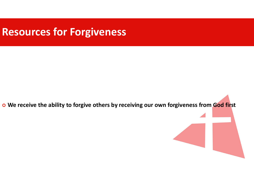# Resources for Forgiveness

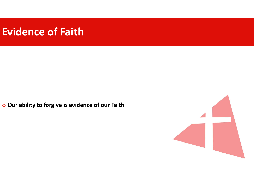# Evidence of Faith

o Our ability to forgive is evidence of our Faith

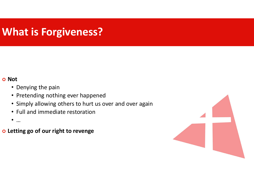# What is Forgiveness?

#### o Not

- Denying the pain
- Pretending nothing ever happened
- Simply allowing others to hurt us over and over again
- Full and immediate restoration
- $\bullet$  ...
- Letting go of our right to revenge